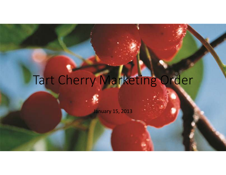# Tart Cherry Marketing Order

January 15, 2013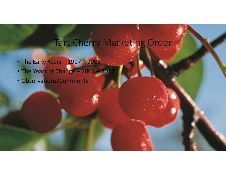### Tart Cherry Marketing Order

- The Early Years 1997 <sup>2006</sup>
- The Years of Change 2007 <sup>2012</sup>
- Observations/Comments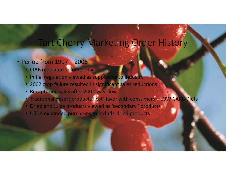### Tart Cherry Marketing Order History

### • Period from 1997 – <sup>2006</sup>

- CIAB regulated volume only
- Initial regulation viewed as supportive to Industry
- 2002 crop failure resulted in significant sales reductions
- Recapturing sales after 2002 was slow
- Traditional desert products 'lost' favor with consumers LOW CARB Diets •
- Dried and Juice products viewed as 'secondary ' products
- USDA expanded purchases to include dried products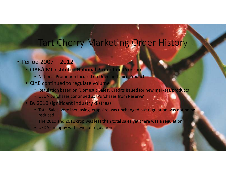### Tart Cherry Marketing Order History

### • Period 2007 – <sup>2012</sup>

- •CIAB/CMI instituted National Promotion Program
	- National Promotion focused on Dried and Juice Products
- CIAB continued to regulate volume
	- Regulation based on 'Domestic Sales', Credits issued for new markets/products
	- USDA purchases continued as 'Purchases from Reserve'
- By 2010 significant Industry distress
	- Total Sales were increasing, crop size was unchanged but regulation was not being reduced
	- The 2010 and 2011 crop was less than total sales yet there was a regulation
	- USDA unhappy with level of regulation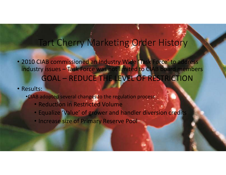### Tart Cherry Marketing Order History

- 2010 CIAB commissioned an Industry Wide 'Task Force' to address industry issues – Task Force was not limited to CIAB board members GOAL – REDUCE THE LEVEL OF RESTRICTION
- Results:
	- •CIAB adopted several changes to the regulation process
		- Reduction in Restricted Volume
		- Equalize 'Value' of grower and handler diversion credits
		- Increase size of Primary Reserve Pool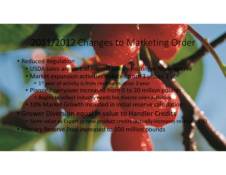## 2011/2012 Changes to Marketing Order

- Reduced Regulation
	- USDA sales are part of normal sales no longer from reserve
	- Market expansion activities reduced from 3 yrs. to 1 yr.
		- 1<sup>st</sup> year of activity is from reserve vs. prior 3 year
	- Planned carryover increased from 0 to 20 million pounds
		- Begins to reflect industry needs foe diverse sales activities
	- 10% Market Growth included in initial reserve calculation
- Grower Diversion equal in value to Handler Credits
	- Same value as Export or new product credits (actually increases restriction %)
- Primary Reserve Pool increased to 100 million pounds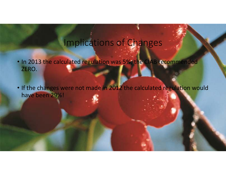### Implications of Changes

- In 2013 the calculated regulation was 5%, the CIAB recommended ZERO.
- If the changes were not made in 2012 the calculated regulation would have been 29%!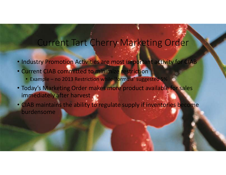### Current Tart Cherry Marketing Order

- Industry Promotion Activities are most important activity for CIAB
- Current CIAB committed to minimize restriction
	- •Example no 2013 Restriction while 'formula' suggested 5%
- •Today's Marketing Order makes more product available for sales immediately after harvest
- CIAB maintains the ability to regulate supply if inventories become burdensome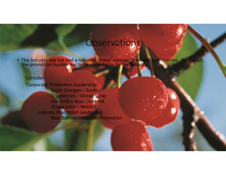### **Observations**

• The Industry has not had a national 'Brand' emerge to market tart cherries. As a result, the promotion burden has to be undertaken by the industry.

#### Consider:'Corporate' Promotion Leadership Fresh Oranges – Sunkist Cranberries – Ocean Spray Almonds – Blue DiamondGrape Juice – Welch's Industry Promotion LeadershipBlue Berries – Industry Promotion